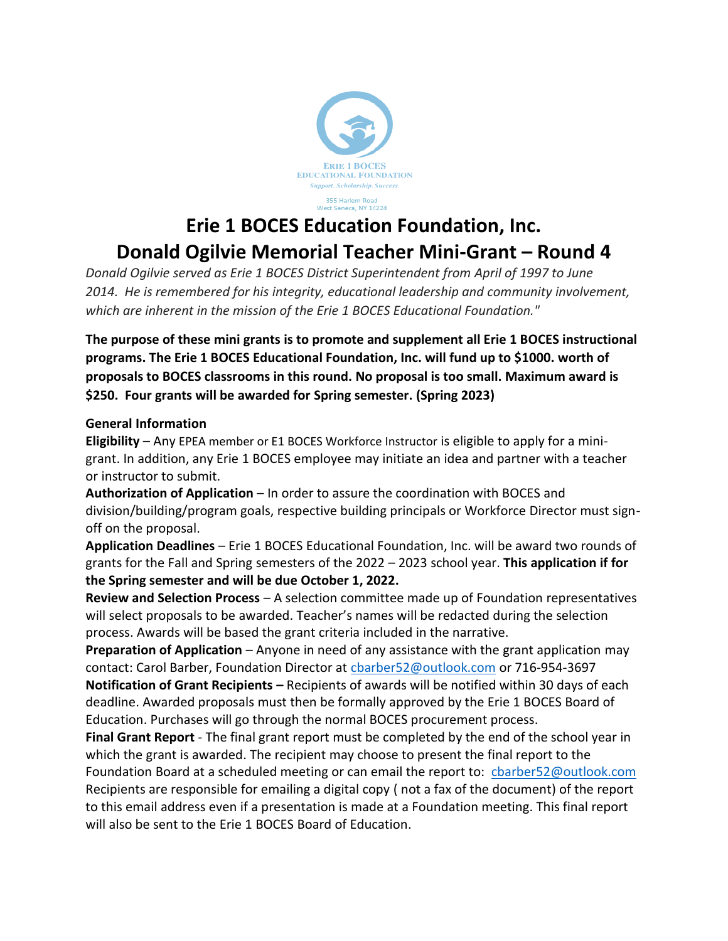

**Erie 1 BOCES Education Foundation, Inc. Donald Ogilvie Memorial Teacher Mini-Grant – Round 4**

*Donald Ogilvie served as Erie 1 BOCES District Superintendent from April of 1997 to June 2014. He is remembered for his integrity, educational leadership and community involvement, which are inherent in the mission of the Erie 1 BOCES Educational Foundation."*

**The purpose of these mini grants is to promote and supplement all Erie 1 BOCES instructional programs. The Erie 1 BOCES Educational Foundation, Inc. will fund up to \$1000. worth of proposals to BOCES classrooms in this round. No proposal is too small. Maximum award is \$250. Four grants will be awarded for Spring semester. (Spring 2023)**

#### **General Information**

**Eligibility** – Any EPEA member or E1 BOCES Workforce Instructor is eligible to apply for a minigrant. In addition, any Erie 1 BOCES employee may initiate an idea and partner with a teacher or instructor to submit.

**Authorization of Application** – In order to assure the coordination with BOCES and division/building/program goals, respective building principals or Workforce Director must signoff on the proposal.

**Application Deadlines** – Erie 1 BOCES Educational Foundation, Inc. will be award two rounds of grants for the Fall and Spring semesters of the 2022 – 2023 school year. **This application if for the Spring semester and will be due October 1, 2022.**

**Review and Selection Process** – A selection committee made up of Foundation representatives will select proposals to be awarded. Teacher's names will be redacted during the selection process. Awards will be based the grant criteria included in the narrative.

**Preparation of Application** – Anyone in need of any assistance with the grant application may contact: Carol Barber, Foundation Director at [cbarber52@outlook.com](mailto:cbarber52@outlook.com) or 716-954-3697 **Notification of Grant Recipients –** Recipients of awards will be notified within 30 days of each deadline. Awarded proposals must then be formally approved by the Erie 1 BOCES Board of Education. Purchases will go through the normal BOCES procurement process.

**Final Grant Report** - The final grant report must be completed by the end of the school year in which the grant is awarded. The recipient may choose to present the final report to the Foundation Board at a scheduled meeting or can email the report to: [cbarber52@outlook.com](mailto:cbarber52@outlook.com)  Recipients are responsible for emailing a digital copy ( not a fax of the document) of the report to this email address even if a presentation is made at a Foundation meeting. This final report will also be sent to the Erie 1 BOCES Board of Education.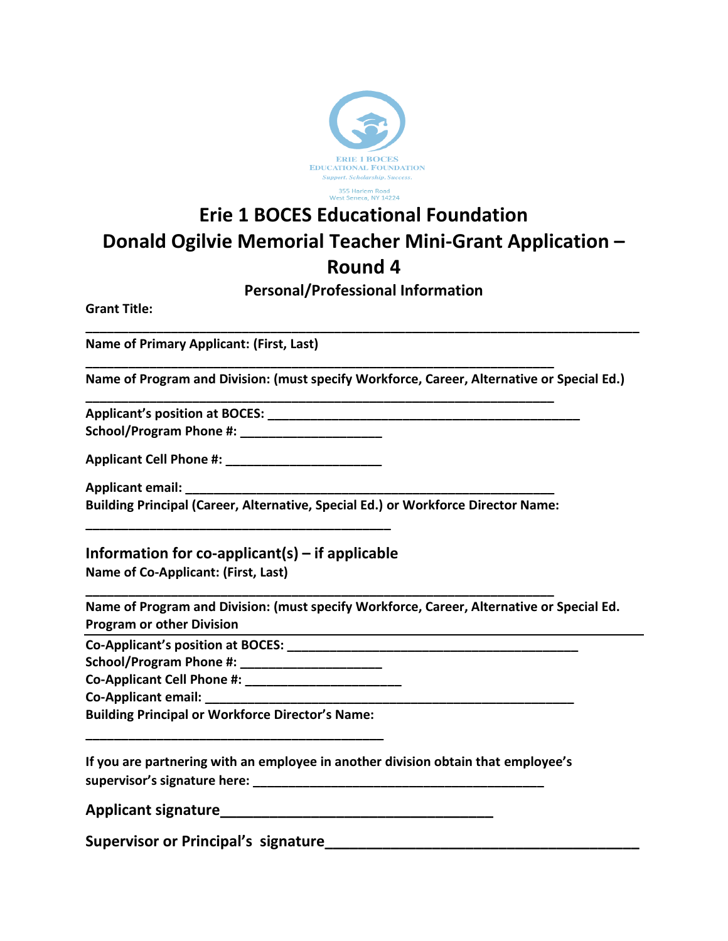

# **Erie 1 BOCES Educational Foundation Donald Ogilvie Memorial Teacher Mini-Grant Application – Round 4**

# **Personal/Professional Information**

**\_\_\_\_\_\_\_\_\_\_\_\_\_\_\_\_\_\_\_\_\_\_\_\_\_\_\_\_\_\_\_\_\_\_\_\_\_\_\_\_\_\_\_\_\_\_\_\_\_\_\_\_\_\_\_\_\_\_\_\_\_\_\_\_\_\_\_\_\_\_\_\_\_\_\_\_\_\_**

**Grant Title:**

**Name of Primary Applicant: (First, Last)**

**Name of Program and Division: (must specify Workforce, Career, Alternative or Special Ed.)**

**Applicant's position at BOCES: \_\_\_\_\_\_\_\_\_\_\_\_\_\_\_\_\_\_\_\_\_\_\_\_\_\_\_\_\_\_\_\_\_\_\_\_\_\_\_\_\_\_\_\_ School/Program Phone #: \_\_\_\_\_\_\_\_\_\_\_\_\_\_\_\_\_\_\_\_** 

| School/Program Phone #: |  |
|-------------------------|--|
|                         |  |

**Applicant Cell Phone #: \_\_\_\_\_\_\_\_\_\_\_\_\_\_\_\_\_\_\_\_\_\_**

**Applicant email: \_\_\_\_\_\_\_\_\_\_\_\_\_\_\_\_\_\_\_\_\_\_\_\_\_\_\_\_\_\_\_\_\_\_\_\_\_\_\_\_\_\_\_\_\_\_\_\_\_\_\_\_ Building Principal (Career, Alternative, Special Ed.) or Workforce Director Name:** 

**\_\_\_\_\_\_\_\_\_\_\_\_\_\_\_\_\_\_\_\_\_\_\_\_\_\_\_\_\_\_\_\_\_\_\_\_\_\_\_\_\_\_\_\_\_\_\_\_\_\_\_\_\_\_\_\_\_\_\_\_\_\_\_\_\_\_**

**\_\_\_\_\_\_\_\_\_\_\_\_\_\_\_\_\_\_\_\_\_\_\_\_\_\_\_\_\_\_\_\_\_\_\_\_\_\_\_\_\_\_\_\_\_\_\_\_\_\_\_\_\_\_\_\_\_\_\_\_\_\_\_\_\_\_**

**\_\_\_\_\_\_\_\_\_\_\_\_\_\_\_\_\_\_\_\_\_\_\_\_\_\_\_\_\_\_\_\_\_\_\_\_\_\_\_\_\_\_\_\_\_\_\_\_\_\_\_\_\_\_\_\_\_\_\_\_\_\_\_\_\_\_**

**Information for co-applicant(s) – if applicable Name of Co-Applicant: (First, Last)**

**\_\_\_\_\_\_\_\_\_\_\_\_\_\_\_\_\_\_\_\_\_\_\_\_\_\_\_\_\_\_\_\_\_\_\_\_\_\_\_\_\_\_\_**

**Name of Program and Division: (must specify Workforce, Career, Alternative or Special Ed. Program or other Division**

**Co-Applicant's position at BOCES: \_\_\_\_\_\_\_\_\_\_\_\_\_\_\_\_\_\_\_\_\_\_\_\_\_\_\_\_\_\_\_\_\_\_\_\_\_\_\_\_\_**

**School/Program Phone #: \_\_\_\_\_\_\_\_\_\_\_\_\_\_\_\_\_\_\_\_** 

**Co-Applicant Cell Phone #: \_\_\_\_\_\_\_\_\_\_\_\_\_\_\_\_\_\_\_\_\_\_**

Co-Applicant email:

**Building Principal or Workforce Director's Name: \_\_\_\_\_\_\_\_\_\_\_\_\_\_\_\_\_\_\_\_\_\_\_\_\_\_\_\_\_\_\_\_\_\_\_\_\_\_\_\_\_\_**

**If you are partnering with an employee in another division obtain that employee's supervisor's signature here: \_\_\_\_\_\_\_\_\_\_\_\_\_\_\_\_\_\_\_\_\_\_\_\_\_\_\_\_\_\_\_\_\_\_\_\_\_\_\_\_\_**

**Applicant signature\_\_\_\_\_\_\_\_\_\_\_\_\_\_\_\_\_\_\_\_\_\_\_\_\_\_\_\_\_\_\_\_\_**

**Supervisor or Principal's signature**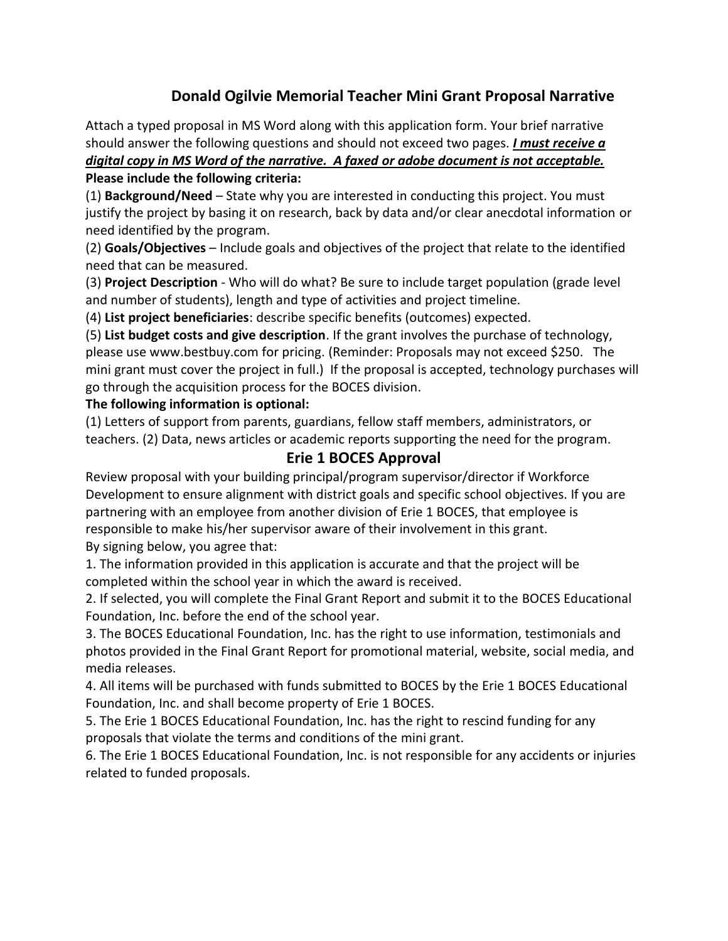# **Donald Ogilvie Memorial Teacher Mini Grant Proposal Narrative**

Attach a typed proposal in MS Word along with this application form. Your brief narrative should answer the following questions and should not exceed two pages. *I must receive a digital copy in MS Word of the narrative. A faxed or adobe document is not acceptable.* **Please include the following criteria:**

(1) **Background/Need** – State why you are interested in conducting this project. You must justify the project by basing it on research, back by data and/or clear anecdotal information or need identified by the program.

(2) **Goals/Objectives** – Include goals and objectives of the project that relate to the identified need that can be measured.

(3) **Project Description** - Who will do what? Be sure to include target population (grade level and number of students), length and type of activities and project timeline.

(4) **List project beneficiaries**: describe specific benefits (outcomes) expected.

(5) **List budget costs and give description**. If the grant involves the purchase of technology, please use www.bestbuy.com for pricing. (Reminder: Proposals may not exceed \$250. The mini grant must cover the project in full.) If the proposal is accepted, technology purchases will go through the acquisition process for the BOCES division.

#### **The following information is optional:**

(1) Letters of support from parents, guardians, fellow staff members, administrators, or teachers. (2) Data, news articles or academic reports supporting the need for the program.

## **Erie 1 BOCES Approval**

Review proposal with your building principal/program supervisor/director if Workforce Development to ensure alignment with district goals and specific school objectives. If you are partnering with an employee from another division of Erie 1 BOCES, that employee is responsible to make his/her supervisor aware of their involvement in this grant. By signing below, you agree that:

1. The information provided in this application is accurate and that the project will be completed within the school year in which the award is received.

2. If selected, you will complete the Final Grant Report and submit it to the BOCES Educational Foundation, Inc. before the end of the school year.

3. The BOCES Educational Foundation, Inc. has the right to use information, testimonials and photos provided in the Final Grant Report for promotional material, website, social media, and media releases.

4. All items will be purchased with funds submitted to BOCES by the Erie 1 BOCES Educational Foundation, Inc. and shall become property of Erie 1 BOCES.

5. The Erie 1 BOCES Educational Foundation, Inc. has the right to rescind funding for any proposals that violate the terms and conditions of the mini grant.

6. The Erie 1 BOCES Educational Foundation, Inc. is not responsible for any accidents or injuries related to funded proposals.